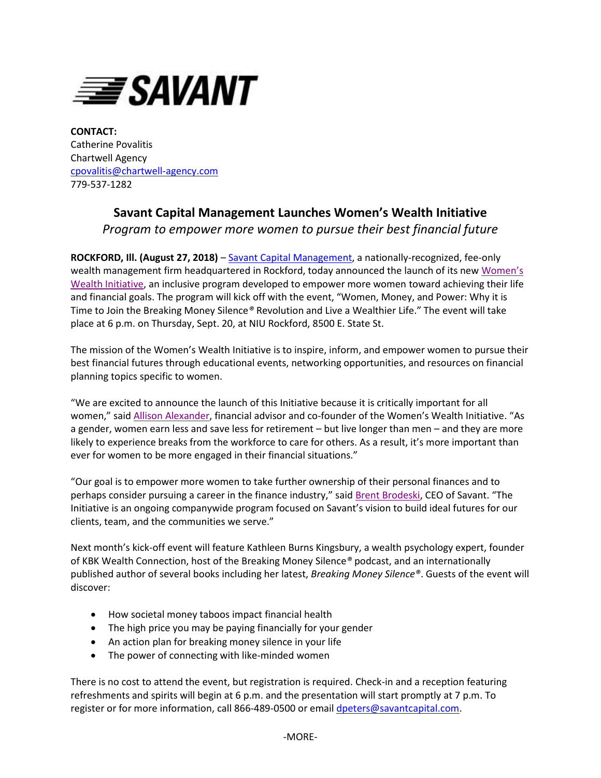

**CONTACT:** Catherine Povalitis Chartwell Agency [cpovalitis@chartwell-agency.com](mailto:cpovalitis@chartwell-agency.com) 779-537-1282

## **Savant Capital Management Launches Women's Wealth Initiative** *Program to empower more women to pursue their best financial future*

**ROCKFORD, Ill. (August 27, 2018)** – [Savant Capital Management,](http://www.savantcapital.com/) a nationally-recognized, fee-only wealth management firm headquartered in Rockford, today announced the launch of its new [Women's](https://www.savantcapital.com/about-savant/women)  [Wealth Initiative,](https://www.savantcapital.com/about-savant/women) an inclusive program developed to empower more women toward achieving their life and financial goals. The program will kick off with the event, "Women, Money, and Power: Why it is Time to Join the Breaking Money Silence*®* Revolution and Live a Wealthier Life." The event will take place at 6 p.m. on Thursday, Sept. 20, at NIU Rockford, 8500 E. State St.

The mission of the Women's Wealth Initiative is to inspire, inform, and empower women to pursue their best financial futures through educational events, networking opportunities, and resources on financial planning topics specific to women.

"We are excited to announce the launch of this Initiative because it is critically important for all women," said [Allison Alexander,](https://www.savantcapital.com/team-member/Allison-A.-Alexander) financial advisor and co-founder of the Women's Wealth Initiative. "As a gender, women earn less and save less for retirement – but live longer than men – and they are more likely to experience breaks from the workforce to care for others. As a result, it's more important than ever for women to be more engaged in their financial situations."

"Our goal is to empower more women to take further ownership of their personal finances and to perhaps consider pursuing a career in the finance industry," said [Brent Brodeski](https://www.savantcapital.com/team-member/Brent-R.-Brodeski), CEO of Savant. "The Initiative is an ongoing companywide program focused on Savant's vision to build ideal futures for our clients, team, and the communities we serve."

Next month's kick-off event will feature Kathleen Burns Kingsbury, a wealth psychology expert, founder of KBK Wealth Connection, host of the Breaking Money Silence*®* podcast, and an internationally published author of several books including her latest, *Breaking Money Silence®*. Guests of the event will discover:

- How societal money taboos impact financial health
- The high price you may be paying financially for your gender
- An action plan for breaking money silence in your life
- The power of connecting with like-minded women

There is no cost to attend the event, but registration is required. Check-in and a reception featuring refreshments and spirits will begin at 6 p.m. and the presentation will start promptly at 7 p.m. To register or for more information, call 866-489-0500 or email [dpeters@savantcapital.com.](mailto:dpeters@savantcapital.com)